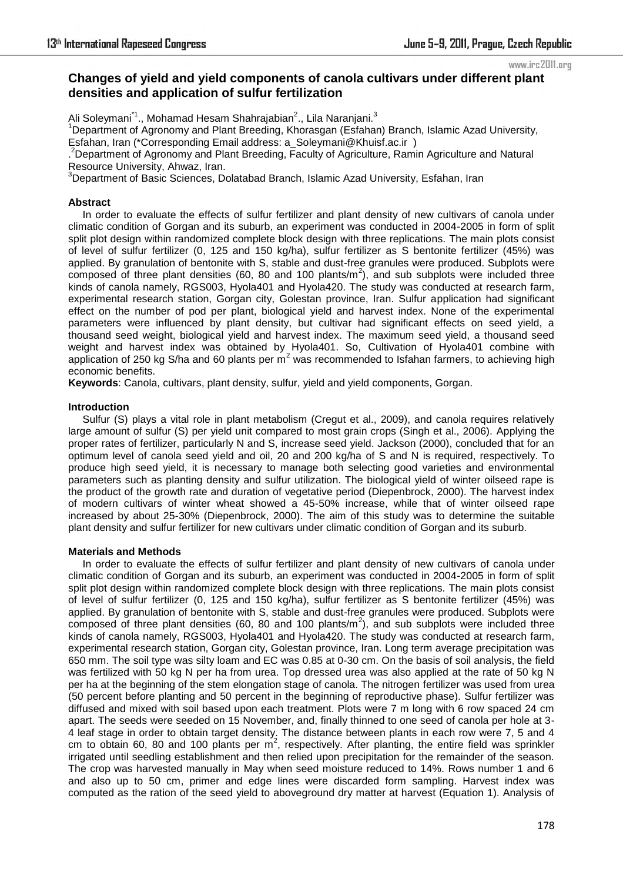www.irc2011.org

# **Changes of yield and yield components of canola cultivars under different plant densities and application of sulfur fertilization**

Ali Soleymani<sup>\*1</sup>., Mohamad Hesam Shahrajabian<sup>2</sup>., Lila Naranjani.<sup>3</sup>

<sup>1</sup>Department of Agronomy and Plant Breeding, Khorasgan (Esfahan) Branch, Islamic Azad University, Esfahan, Iran (\*Corresponding Email address: a\_Soleymani@Khuisf.ac.ir )

. <sup>2</sup>Department of Agronomy and Plant Breeding, Faculty of Agriculture, Ramin Agriculture and Natural

Resource University, Ahwaz, Iran.

 $3$ Department of Basic Sciences, Dolatabad Branch, Islamic Azad University, Esfahan, Iran

## **Abstract**

 In order to evaluate the effects of sulfur fertilizer and plant density of new cultivars of canola under climatic condition of Gorgan and its suburb, an experiment was conducted in 2004-2005 in form of split split plot design within randomized complete block design with three replications. The main plots consist of level of sulfur fertilizer (0, 125 and 150 kg/ha), sulfur fertilizer as S bentonite fertilizer (45%) was applied. By granulation of bentonite with S, stable and dust-free granules were produced. Subplots were composed of three plant densities (60, 80 and 100 plants/ $m^2$ ), and sub subplots were included three kinds of canola namely, RGS003, Hyola401 and Hyola420. The study was conducted at research farm, experimental research station, Gorgan city, Golestan province, Iran. Sulfur application had significant effect on the number of pod per plant, biological yield and harvest index. None of the experimental parameters were influenced by plant density, but cultivar had significant effects on seed yield, a thousand seed weight, biological yield and harvest index. The maximum seed yield, a thousand seed weight and harvest index was obtained by Hyola401. So, Cultivation of Hyola401 combine with application of 250 kg S/ha and 60 plants per  $m^2$  was recommended to Isfahan farmers, to achieving high economic benefits.

**Keywords**: Canola, cultivars, plant density, sulfur, yield and yield components, Gorgan.

# **Introduction**

 Sulfur (S) plays a vital role in plant metabolism (Cregut et al., 2009), and canola requires relatively large amount of sulfur (S) per yield unit compared to most grain crops (Singh et al., 2006). Applying the proper rates of fertilizer, particularly N and S, increase seed yield. Jackson (2000), concluded that for an optimum level of canola seed yield and oil, 20 and 200 kg/ha of S and N is required, respectively. To produce high seed yield, it is necessary to manage both selecting good varieties and environmental parameters such as planting density and sulfur utilization. The biological yield of winter oilseed rape is the product of the growth rate and duration of vegetative period (Diepenbrock, 2000). The harvest index of modern cultivars of winter wheat showed a 45-50% increase, while that of winter oilseed rape increased by about 25-30% (Diepenbrock, 2000). The aim of this study was to determine the suitable plant density and sulfur fertilizer for new cultivars under climatic condition of Gorgan and its suburb.

#### **Materials and Methods**

 In order to evaluate the effects of sulfur fertilizer and plant density of new cultivars of canola under climatic condition of Gorgan and its suburb, an experiment was conducted in 2004-2005 in form of split split plot design within randomized complete block design with three replications. The main plots consist of level of sulfur fertilizer (0, 125 and 150 kg/ha), sulfur fertilizer as S bentonite fertilizer (45%) was applied. By granulation of bentonite with S, stable and dust-free granules were produced. Subplots were composed of three plant densities (60, 80 and 100 plants/ $m^2$ ), and sub subplots were included three kinds of canola namely, RGS003, Hyola401 and Hyola420. The study was conducted at research farm, experimental research station, Gorgan city, Golestan province, Iran. Long term average precipitation was 650 mm. The soil type was silty loam and EC was 0.85 at 0-30 cm. On the basis of soil analysis, the field was fertilized with 50 kg N per ha from urea. Top dressed urea was also applied at the rate of 50 kg N per ha at the beginning of the stem elongation stage of canola. The nitrogen fertilizer was used from urea (50 percent before planting and 50 percent in the beginning of reproductive phase). Sulfur fertilizer was diffused and mixed with soil based upon each treatment. Plots were 7 m long with 6 row spaced 24 cm apart. The seeds were seeded on 15 November, and, finally thinned to one seed of canola per hole at 3- 4 leaf stage in order to obtain target density. The distance between plants in each row were 7, 5 and 4 cm to obtain 60, 80 and 100 plants per  $m^2$ , respectively. After planting, the entire field was sprinkler irrigated until seedling establishment and then relied upon precipitation for the remainder of the season. The crop was harvested manually in May when seed moisture reduced to 14%. Rows number 1 and 6 and also up to 50 cm, primer and edge lines were discarded form sampling. Harvest index was computed as the ration of the seed yield to aboveground dry matter at harvest (Equation 1). Analysis of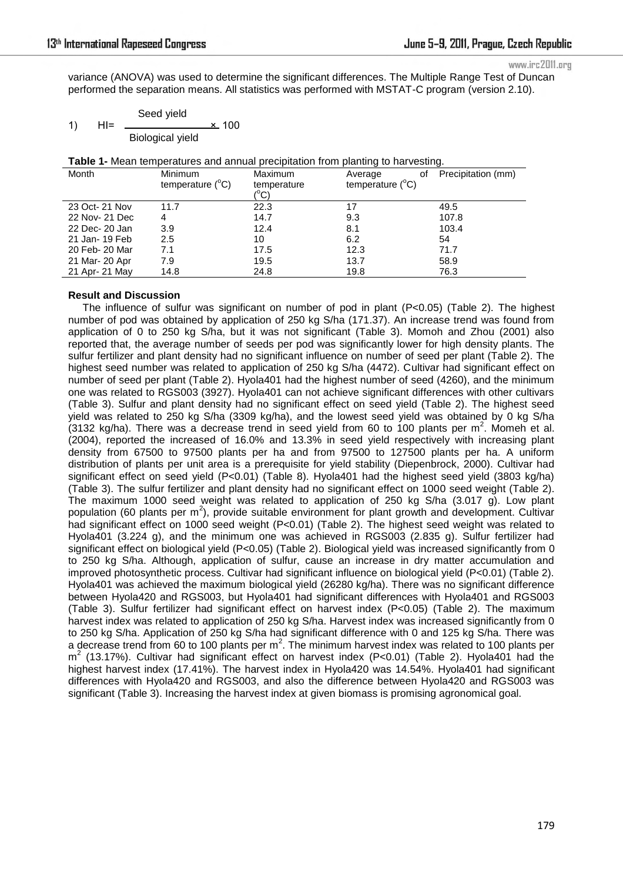www.irc2011.org

variance (ANOVA) was used to determine the significant differences. The Multiple Range Test of Duncan performed the separation means. All statistics was performed with MSTAT-C program (version 2.10).

|    |     | Seed yield              |              |  |
|----|-----|-------------------------|--------------|--|
| 1) | HI= |                         | <u>×</u> 100 |  |
|    |     | <b>Biological yield</b> |              |  |

**Table 1-** Mean temperatures and annual precipitation from planting to harvesting.

| Month          | <b>Minimum</b><br>temperature $(^{\circ}C)$ | Maximum<br>temperature<br>(°C) | οf<br>Average<br>temperature $(^{\circ}C)$ | Precipitation (mm) |
|----------------|---------------------------------------------|--------------------------------|--------------------------------------------|--------------------|
| 23 Oct- 21 Nov | 11.7                                        | 22.3                           | 17                                         | 49.5               |
| 22 Nov- 21 Dec | 4                                           | 14.7                           | 9.3                                        | 107.8              |
| 22 Dec- 20 Jan | 3.9                                         | 12.4                           | 8.1                                        | 103.4              |
| 21 Jan- 19 Feb | 2.5                                         | 10                             | 6.2                                        | 54                 |
| 20 Feb- 20 Mar | 7.1                                         | 17.5                           | 12.3                                       | 71.7               |
| 21 Mar- 20 Apr | 7.9                                         | 19.5                           | 13.7                                       | 58.9               |
| 21 Apr- 21 May | 14.8                                        | 24.8                           | 19.8                                       | 76.3               |

## **Result and Discussion**

The influence of sulfur was significant on number of pod in plant (P<0.05) (Table 2). The highest number of pod was obtained by application of 250 kg S/ha (171.37). An increase trend was found from application of 0 to 250 kg S/ha, but it was not significant (Table 3). Momoh and Zhou (2001) also reported that, the average number of seeds per pod was significantly lower for high density plants. The sulfur fertilizer and plant density had no significant influence on number of seed per plant (Table 2). The highest seed number was related to application of 250 kg S/ha (4472). Cultivar had significant effect on number of seed per plant (Table 2). Hyola401 had the highest number of seed (4260), and the minimum one was related to RGS003 (3927). Hyola401 can not achieve significant differences with other cultivars (Table 3). Sulfur and plant density had no significant effect on seed yield (Table 2). The highest seed yield was related to 250 kg S/ha (3309 kg/ha), and the lowest seed yield was obtained by 0 kg S/ha  $(3132 \text{ kg/ha})$ . There was a decrease trend in seed yield from 60 to 100 plants per m<sup>2</sup>. Momeh et al. (2004), reported the increased of 16.0% and 13.3% in seed yield respectively with increasing plant density from 67500 to 97500 plants per ha and from 97500 to 127500 plants per ha. A uniform distribution of plants per unit area is a prerequisite for yield stability (Diepenbrock, 2000). Cultivar had significant effect on seed yield (P<0.01) (Table 8). Hyola401 had the highest seed yield (3803 kg/ha) (Table 3). The sulfur fertilizer and plant density had no significant effect on 1000 seed weight (Table 2). The maximum 1000 seed weight was related to application of 250 kg S/ha (3.017 g). Low plant population (60 plants per  $m^2$ ), provide suitable environment for plant growth and development. Cultivar had significant effect on 1000 seed weight (P<0.01) (Table 2). The highest seed weight was related to Hyola401 (3.224 g), and the minimum one was achieved in RGS003 (2.835 g). Sulfur fertilizer had significant effect on biological yield (P<0.05) (Table 2). Biological yield was increased significantly from 0 to 250 kg S/ha. Although, application of sulfur, cause an increase in dry matter accumulation and improved photosynthetic process. Cultivar had significant influence on biological yield (P<0.01) (Table 2). Hyola401 was achieved the maximum biological yield (26280 kg/ha). There was no significant difference between Hyola420 and RGS003, but Hyola401 had significant differences with Hyola401 and RGS003 (Table 3). Sulfur fertilizer had significant effect on harvest index (P<0.05) (Table 2). The maximum harvest index was related to application of 250 kg S/ha. Harvest index was increased significantly from 0 to 250 kg S/ha. Application of 250 kg S/ha had significant difference with 0 and 125 kg S/ha. There was a decrease trend from 60 to 100 plants per m<sup>2</sup>. The minimum harvest index was related to 100 plants per  $m^2$  (13.17%). Cultivar had significant effect on harvest index (P<0.01) (Table 2). Hyola401 had the highest harvest index (17.41%). The harvest index in Hyola420 was 14.54%. Hyola401 had significant differences with Hyola420 and RGS003, and also the difference between Hyola420 and RGS003 was significant (Table 3). Increasing the harvest index at given biomass is promising agronomical goal.